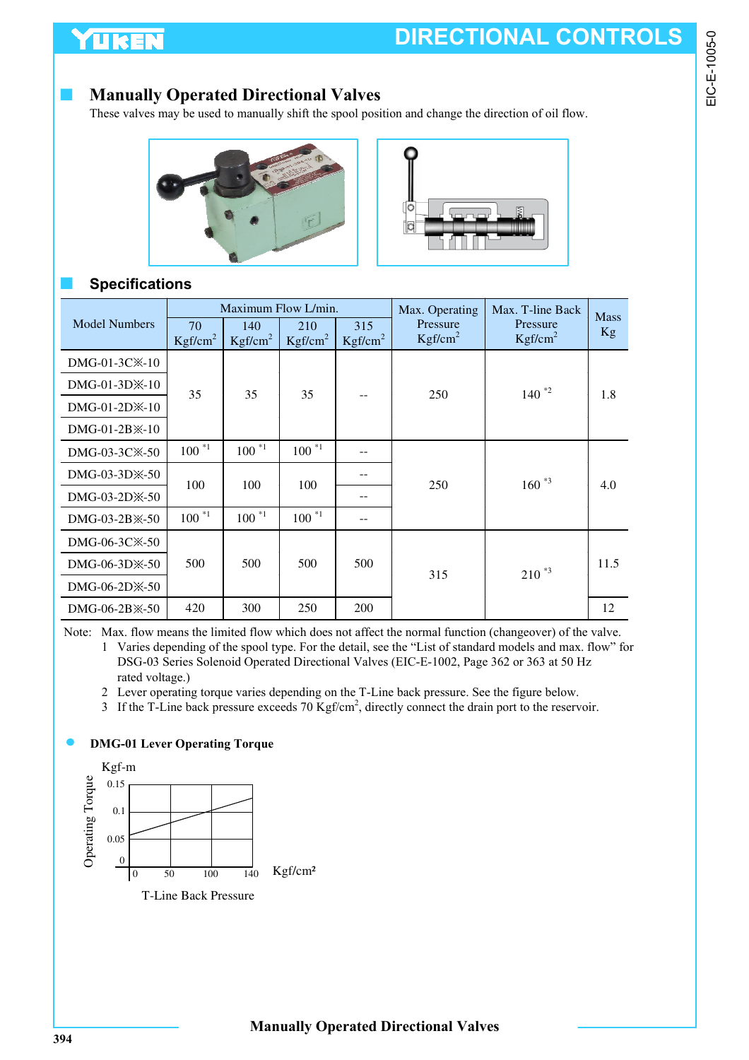# **Manually Operated Directional Valves**

These valves may be used to manually shift the spool position and change the direction of oil flow.





## ■ **Specifications**

|                            | Maximum Flow L/min.       |                            |                            |                            | Max. Operating                  | Max. T-line Back                | <b>Mass</b> |
|----------------------------|---------------------------|----------------------------|----------------------------|----------------------------|---------------------------------|---------------------------------|-------------|
| <b>Model Numbers</b>       | 70<br>Kgf/cm <sup>2</sup> | 140<br>Kgf/cm <sup>2</sup> | 210<br>Kgf/cm <sup>2</sup> | 315<br>Kgf/cm <sup>2</sup> | Pressure<br>Kgf/cm <sup>2</sup> | Pressure<br>Kgf/cm <sup>2</sup> | <b>Kg</b>   |
| DMG-01-3C <sup>×</sup> -10 |                           |                            |                            |                            |                                 |                                 |             |
| $DMG-01-3D\$               | 35                        | 35                         |                            |                            | 250                             | $140^{2}$                       | 1.8         |
| $DMG-01-2D\times-10$       |                           |                            | 35                         |                            |                                 |                                 |             |
| $DMG-01-2B \times -10$     |                           |                            |                            |                            |                                 |                                 |             |
| DMG-03-3C <sup>*</sup> -50 | $100^{*1}$                | $100^{*1}$                 | $100^{*1}$                 | --                         |                                 |                                 |             |
| DMG-03-3D $\&$ -50         |                           |                            |                            |                            |                                 | $160^{*3}$                      | 4.0         |
| $DMG-03-2D\&-50$           | 100                       | 100                        | 100                        |                            | 250                             |                                 |             |
| DMG-03-2B $\&$ -50         | $100^{*1}$                | $100^{*1}$                 | $100^{11}$                 |                            |                                 |                                 |             |
| DMG-06-3C $\times$ -50     |                           |                            |                            |                            |                                 |                                 |             |
| $DMG-06-3D\times-50$       | 500                       | 500                        | 500                        | 500                        |                                 | $210^{*3}$                      | 11.5        |
| DMG-06-2D <sup>*</sup> -50 |                           |                            |                            |                            | 315                             |                                 |             |
| $DMG-06-2B \times -50$     | 420                       | 300                        | 250                        | 200                        |                                 |                                 | 12          |

Note: Max. flow means the limited flow which does not affect the normal function (changeover) of the valve.

- 1 Varies depending of the spool type. For the detail, see the "List of standard models and max. flow" for DSG-03 Series Solenoid Operated Directional Valves (EIC-E-1002, Page 362 or 363 at 50 Hz rated voltage.)
- 2 Lever operating torque varies depending on the T-Line back pressure. See the figure below.
- 3 If the T-Line back pressure exceeds 70 Kgf/cm<sup>2</sup>, directly connect the drain port to the reservoir.

## **DMG-01 Lever Operating Torque**

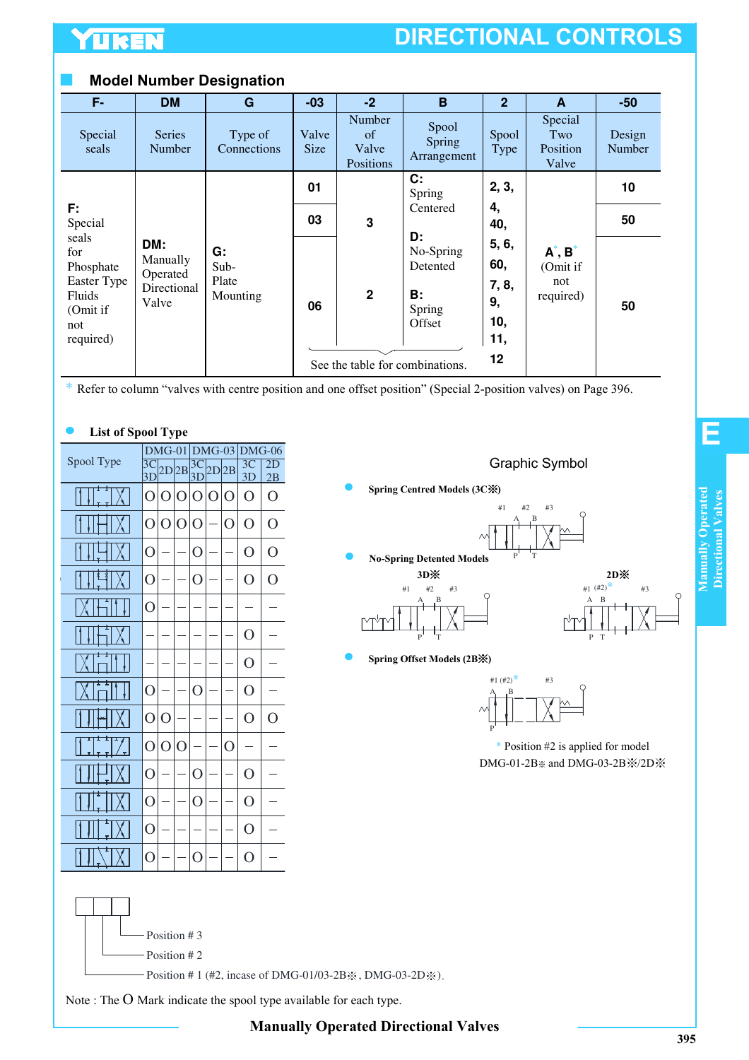## **Model Number Designation**

| F-                                | <b>DM</b>                   | G                      | $-03$                | $-2$                               | B                              | $\overline{2}$ | A                                   | $-50$            |
|-----------------------------------|-----------------------------|------------------------|----------------------|------------------------------------|--------------------------------|----------------|-------------------------------------|------------------|
| Special<br>seals                  | <b>Series</b><br>Number     | Type of<br>Connections | Valve<br><b>Size</b> | Number<br>of<br>Valve<br>Positions | Spool<br>Spring<br>Arrangement | Spool<br>Type  | Special<br>Two<br>Position<br>Valve | Design<br>Number |
|                                   |                             |                        | 01                   |                                    | C:<br>Spring                   | 2, 3,          |                                     | 10               |
| F:<br>Special                     |                             |                        | 03                   | 3                                  | Centered                       | 4,<br>40,      |                                     | 50               |
| seals<br>for<br>Phosphate         | DM:<br>Manually<br>Operated | G:<br>Sub-             |                      |                                    | D:<br>No-Spring<br>Detented    | 5, 6,<br>60,   | $A^*$ , $B^*$<br>(Omit if           |                  |
| Easter Type<br>Fluids<br>(Omit if | Directional<br>Valve        | Plate<br>Mounting      | 06                   | $\mathbf{2}$                       | В:<br>Spring                   | 7, 8,<br>9,    | not<br>required)                    | 50               |
| not<br>required)                  |                             |                        |                      |                                    | Offset                         | 10,<br>11,     |                                     |                  |
|                                   |                             |                        |                      | See the table for combinations.    |                                | 12             |                                     |                  |

\* Refer to column "valves with centre position and one offset position" (Special 2-position valves) on Page 396.

## **List of Spool Type**

|            | $DMG-01$              |                |                | $DMG-03$              |       |   | $DMG-06$             |                |
|------------|-----------------------|----------------|----------------|-----------------------|-------|---|----------------------|----------------|
| Spool Type | $\overline{3C}$<br>3D |                | 2D 2B          | $\overline{3C}$<br>3D | 2D 2B |   | 3 <sup>C</sup><br>3D | 2D<br>2B       |
| t<br>t     | O                     | O              | $\Omega$       | ∩                     | O     | O | ∩                    | $\Omega$       |
|            | O                     | $\overline{O}$ | $\overline{O}$ | $\Omega$              |       | O | O                    | $\overline{O}$ |
|            | O                     |                |                | O                     |       |   | O                    | O              |
| ł          | O                     |                |                | $\overline{O}$        |       |   | $\overline{O}$       | $\overline{O}$ |
|            | O                     |                |                |                       |       |   |                      |                |
|            |                       |                |                |                       |       |   | O                    |                |
|            |                       |                |                |                       |       |   | $\Omega$             |                |
|            | $\overline{O}$        |                |                | O                     |       |   | $\overline{O}$       |                |
|            | $\overline{O}$        | O              |                |                       |       |   | $\Omega$             | O              |
| t<br>t     | O                     | O              | $\Omega$       |                       |       | O |                      |                |
|            | $\overline{O}$        |                |                | O                     |       |   | $\overline{O}$       |                |
|            | $\overline{O}$        |                |                | O                     |       |   | O                    |                |
| İ          | O                     |                |                |                       |       |   | O                    |                |
|            | O                     |                |                | $\Omega$              |       |   | O                    |                |

Position # 3 Position # 2





\* Position #2 is applied for model DMG-01-2B※ and DMG-03-2B※/2D※



Position # 1 (#2, incase of DMG-01/03-2B $\chi$ , DMG-03-2D $\chi$ ).

Note : The O Mark indicate the spool type available for each type.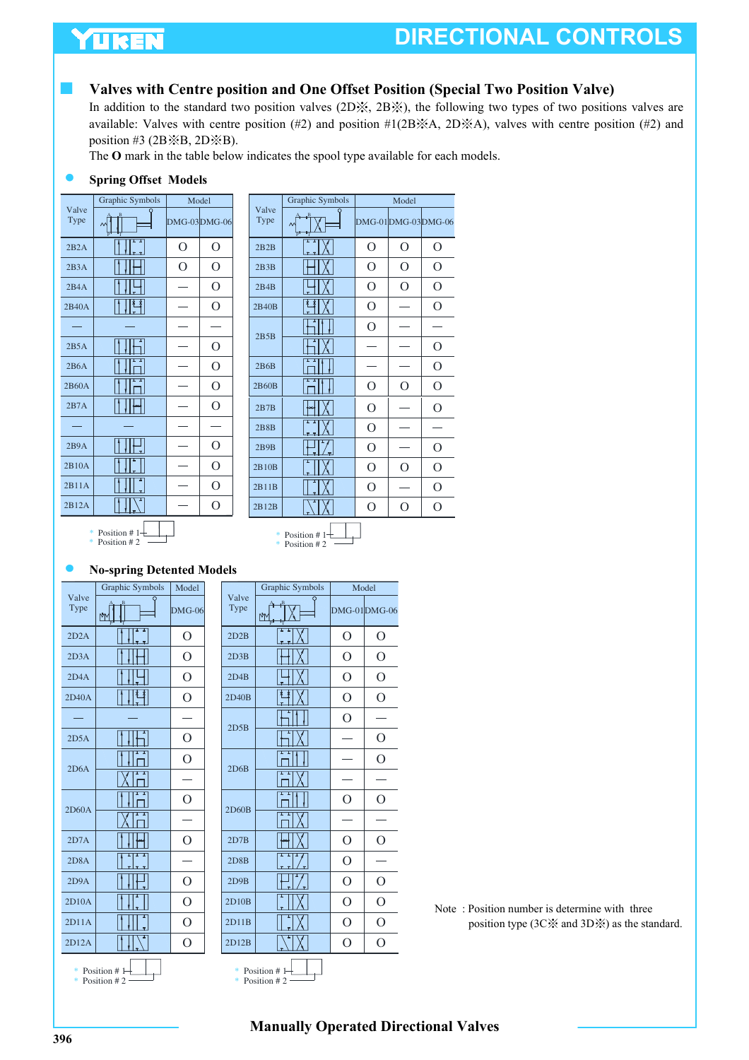## YUKEN

# **DIRECTIONAL CONTROLS**

## **Valves with Centre position and One Offset Position (Special Two Position Valve)**

In addition to the standard two position valves (2D※, 2B※), the following two types of two positions valves are available: Valves with centre position (#2) and position #1(2B※A, 2D※A), valves with centre position (#2) and position #3 (2B $\angle$ 8B, 2D $\angle$ 8B).

The **O** mark in the table below indicates the spool type available for each models.

## **Spring Offset Models**

|               | Graphic Symbols    | Model        |                |
|---------------|--------------------|--------------|----------------|
| Valve<br>Type |                    | DMG-03DMG-06 |                |
| 2B2A          | T<br>τ             | O            | O              |
| 2B3A          |                    | O            | O              |
| 2B4A          |                    |              | $\overline{O}$ |
| 2B40A         | 彗                  |              | O              |
|               |                    |              |                |
| 2B5A          |                    |              | О              |
| 2B6A          |                    |              | O              |
| 2B60A         |                    |              | O              |
| 2B7A          |                    |              | O              |
|               |                    |              |                |
| 2B9A          |                    |              | О              |
| 2B10A         |                    |              | O              |
| 2B11A         |                    |              | O              |
| 2B12A         |                    |              | O              |
|               | $\pm$ Decision # 1 |              |                |

|               | Graphic Symbols |                | Model          |                    |
|---------------|-----------------|----------------|----------------|--------------------|
| Valve<br>Type |                 |                |                | DMG-01DMG-03DMG-06 |
| 2B2B          | τ               | $\overline{O}$ | $\overline{O}$ | O                  |
| 2B3B          |                 | O              | O              | $\overline{O}$     |
| 2B4B          |                 | O              | $\Omega$       | O                  |
| 2B40B         |                 | O              |                | O                  |
| 2B5B          |                 | $\Omega$       |                |                    |
|               |                 |                |                | Ο                  |
| 2B6B          |                 |                |                | $\overline{O}$     |
| 2B60B         |                 | О              | O              | 0                  |
| 2B7B          |                 | $\overline{O}$ |                | $\overline{O}$     |
| 2B8B          |                 | $\overline{O}$ |                |                    |
| 2B9B          |                 | O              |                | О                  |
| 2B10B         |                 | O              | ∩              | O                  |
| 2B11B         |                 | $\Omega$       |                | $\overline{O}$     |
| 2B12B         |                 | O              | ∩              | $\Omega$           |
|               |                 |                |                |                    |

$$
* \t\t\tPosition # 1\n\n* Position # 2
$$



## **No-spring Detented Models**

|               | Graphic Symbols | Model    |
|---------------|-----------------|----------|
| Valve<br>Type |                 | $DMG-06$ |
| 2D2A          |                 | 0        |
| 2D3A          |                 | О        |
| 2D4A          |                 | O        |
| 2D40A         | ł               | O        |
|               |                 |          |
| 2D5A          |                 | O        |
| 2D6A          |                 | O        |
|               |                 |          |
| 2D60A         |                 | O        |
|               |                 |          |
| 2D7A          |                 | O        |
| 2D8A          |                 |          |
| 2D9A          |                 | O        |
| 2D10A         |                 | O        |
| 2D11A         |                 | O        |
| 2D12A         |                 | O        |
| *             | Position $#1-$  |          |

| Model          |               | Graphic Symbols                |                | Model          |
|----------------|---------------|--------------------------------|----------------|----------------|
| $MG-06$        | Valve<br>Type | M                              |                | DMG-01DMG-06   |
| $\mathcal{O}$  | 2D2B          |                                | $\overline{O}$ | $\mathcal{O}$  |
| $\overline{O}$ | 2D3B          |                                | O              | $\overline{O}$ |
| $\overline{O}$ | 2D4B          |                                | $\overline{O}$ | $\overline{O}$ |
| $\overline{O}$ | 2D40B         |                                | $\overline{O}$ | $\Omega$       |
|                | 2D5B          |                                | $\Omega$       |                |
| $\mathcal{O}$  |               |                                |                | $\mathcal{O}$  |
| $\overline{O}$ | 2D6B          |                                |                | $\overline{O}$ |
|                |               |                                |                |                |
| $\overline{O}$ |               |                                | $\Omega$       | $\Omega$       |
|                | 2D60B         |                                |                |                |
| $\mathcal{O}$  | 2D7B          |                                | $\mathcal{O}$  | O              |
|                | 2D8B          |                                | $\overline{O}$ |                |
| $\mathcal{O}$  | 2D9B          |                                | $\overline{O}$ | $\overline{O}$ |
| $\mathcal{O}$  | 2D10B         |                                | O              | $\overline{O}$ |
| $\mathcal{O}$  | 2D11B         |                                | $\overline{O}$ | $\mathcal{O}$  |
| $\overline{O}$ | 2D12B         |                                | $\overline{O}$ | $\overline{O}$ |
|                |               | * Position #1<br>* Position #2 |                |                |

Note : Position number is determine with three position type (3C※ and 3D※) as the standard.

#### \* Position # 1 \* Position # 2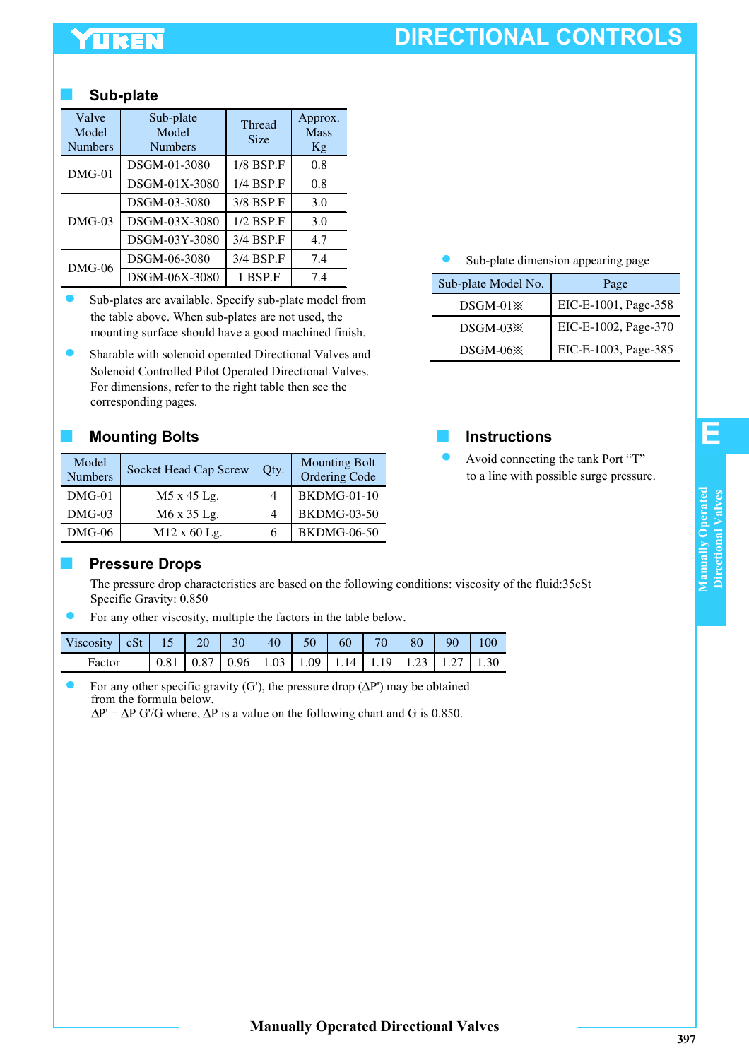# TUREN

# **DIRECTIONAL CONTROLS**

## ■ **Sub-plate**

| Valve<br>Model<br><b>Numbers</b> | Sub-plate<br>Model<br><b>Numbers</b> | <b>Thread</b><br><b>Size</b> | Approx.<br><b>Mass</b><br>Kg |
|----------------------------------|--------------------------------------|------------------------------|------------------------------|
|                                  | DSGM-01-3080                         | 1/8 BSP.F                    | 0.8                          |
| $DMG-01$                         | DSGM-01X-3080                        | 1/4 BSP.F                    | 0.8                          |
|                                  | DSGM-03-3080                         | 3/8 BSP.F                    | 3.0                          |
| $DMG-03$                         | DSGM-03X-3080                        | 1/2 BSP.F                    | 3.0                          |
|                                  | DSGM-03Y-3080                        | 3/4 BSP.F                    | 4.7                          |
| $DMG-06$                         | DSGM-06-3080                         | 3/4 BSP.F                    | 7.4                          |
|                                  | DSGM-06X-3080                        | 1 BSP.F                      | 7.4                          |

- Sub-plates are available. Specify sub-plate model from the table above. When sub-plates are not used, the mounting surface should have a good machined finish.
- Sharable with solenoid operated Directional Valves and Solenoid Controlled Pilot Operated Directional Valves. For dimensions, refer to the right table then see the corresponding pages.

## ■ Mounting Bolts Instructions

| Model<br><b>Numbers</b> | Socket Head Cap Screw | Qty. | <b>Mounting Bolt</b><br>Ordering Code |
|-------------------------|-----------------------|------|---------------------------------------|
| $DMG-01$                | M5 x 45 Lg.           |      | <b>BKDMG-01-10</b>                    |
| $DMG-03$                | M6 x 35 Lg.           |      | <b>BKDMG-03-50</b>                    |
| $DMG-06$                | $M12 \times 60$ Lg.   |      | <b>BKDMG-06-50</b>                    |

## Sub-plate dimension appearing page

| Sub-plate Model No.  | Page                 |
|----------------------|----------------------|
| $DSGM-01$            | EIC-E-1001, Page-358 |
| DSGM-03 <sup>X</sup> | EIC-E-1002, Page-370 |
| DSGM-06 <sup>*</sup> | EIC-E-1003, Page-385 |



### Avoid connecting the tank Port "T" to a line with possible surge pressure.

## **Pressure Drops**

The pressure drop characteristics are based on the following conditions: viscosity of the fluid:35cSt Specific Gravity: 0.850

For any other viscosity, multiple the factors in the table below.

| Viscosity $ cSt $ 15   20   30   40   50   60   70   80   90   100 |  |  |  |                                                                                                                 |  |  |
|--------------------------------------------------------------------|--|--|--|-----------------------------------------------------------------------------------------------------------------|--|--|
| Factor                                                             |  |  |  | $\vert 0.81 \vert 0.87 \vert 0.96 \vert 1.03 \vert 1.09 \vert 1.14 \vert 1.19 \vert 1.23 \vert 1.27 \vert 1.30$ |  |  |

For any other specific gravity (G'), the pressure drop ( $\Delta P'$ ) may be obtained from the formula below.

 $\Delta P' = \Delta P$  G'/G where,  $\Delta P$  is a value on the following chart and G is 0.850.

**E**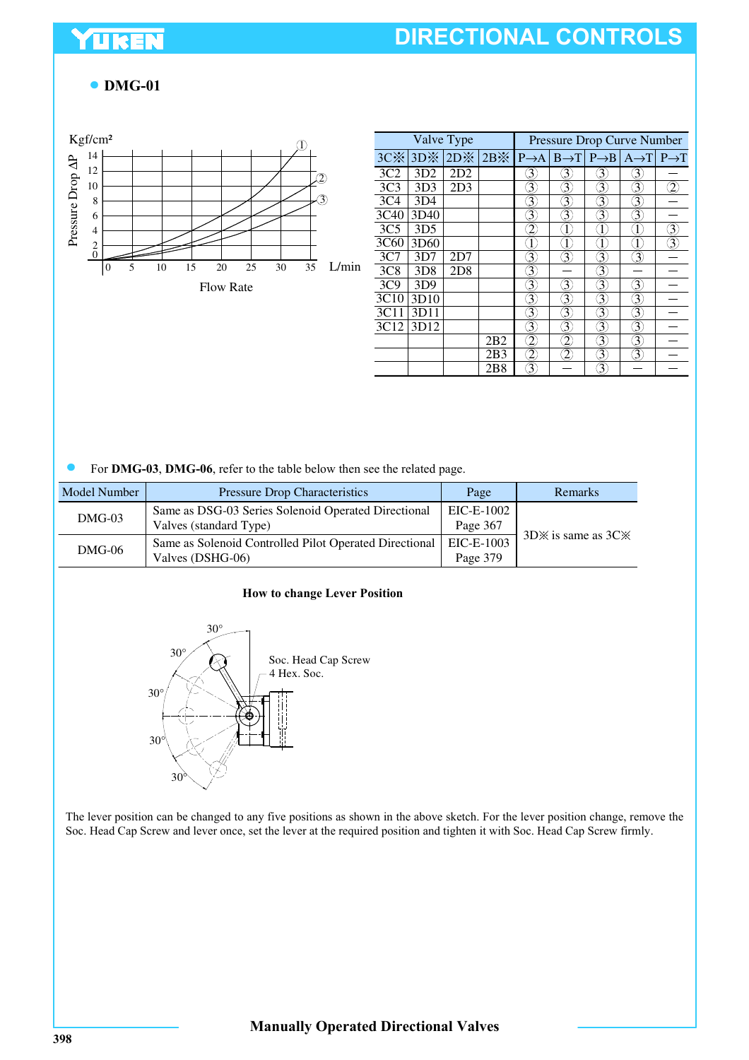## UKEN

# **DIRECTIONAL CONTROLS**

## **DMG-01**



|                 |                  | Valve Type |                 | Pressure Drop Curve Number |                               |   |                                                                                                                    |   |  |
|-----------------|------------------|------------|-----------------|----------------------------|-------------------------------|---|--------------------------------------------------------------------------------------------------------------------|---|--|
|                 | $3C\%$ 3D $\%$   |            |                 |                            |                               |   | $2D\%$ 2B $\%$   P $\rightarrow$ A   B $\rightarrow$ T   P $\rightarrow$ B   A $\rightarrow$ T   P $\rightarrow$ T |   |  |
| 3C2             | 3D2              | 2D2        |                 | 3                          | 3                             | 3 | 3                                                                                                                  |   |  |
| 3C <sub>3</sub> | 3D <sub>3</sub>  | 2D3        |                 | 3                          | 3                             | 3 | 3                                                                                                                  | 2 |  |
| 3C <sub>4</sub> | 3D4              |            |                 | 3                          | 3                             | 3 | 3                                                                                                                  |   |  |
| 3C40            | 3D40             |            |                 | 3                          | 3                             | 3 | 3                                                                                                                  |   |  |
| 3C <sub>5</sub> | 3D <sub>5</sub>  |            |                 | 2                          | $\overline{1}$                |   | Î                                                                                                                  | 3 |  |
| 3C60            | 3D <sub>60</sub> |            |                 |                            | $\left\lbrack 1\right\rbrack$ |   | I                                                                                                                  | 3 |  |
| 3C7             | 3D7              | 2D7        |                 | 3                          | 3                             | 3 | $\overline{\mathfrak{Z}}$                                                                                          |   |  |
| 3C8             | 3D <sub>8</sub>  | 2D8        |                 | 3                          |                               | 3 |                                                                                                                    |   |  |
| 3C9             | 3D9              |            |                 | 3                          | 3                             | 3 | 3                                                                                                                  |   |  |
| 3C10            | 3D10             |            |                 | 3                          | 3                             | 3 | 3                                                                                                                  |   |  |
| 3C11            | 3D11             |            |                 | 3                          | 3                             | 3 | 3                                                                                                                  |   |  |
| 3C12            | 3D12             |            |                 | 3                          | $\widehat{\mathfrak{Z}}$      | 3 | 3                                                                                                                  |   |  |
|                 |                  |            | 2B2             | 2                          | 2                             | 3 | 3                                                                                                                  |   |  |
|                 |                  |            | 2B3             | 2                          | 2                             | 3 | 3.                                                                                                                 |   |  |
|                 |                  |            | 2 <sub>B8</sub> | 3                          |                               | 3 |                                                                                                                    |   |  |

For **DMG-03**, **DMG-06**, refer to the table below then see the related page.

| Model Number | <b>Pressure Drop Characteristics</b>                                          | Page                   | Remarks                  |  |
|--------------|-------------------------------------------------------------------------------|------------------------|--------------------------|--|
| $DMG-03$     | Same as DSG-03 Series Solenoid Operated Directional<br>Valves (standard Type) | EIC-E-1002<br>Page 367 | $3D\%$ is same as $3C\%$ |  |
| $DMG-06$     | Same as Solenoid Controlled Pilot Operated Directional<br>Valves (DSHG-06)    | EIC-E-1003<br>Page 379 |                          |  |

#### **How to change Lever Position**



The lever position can be changed to any five positions as shown in the above sketch. For the lever position change, remove the Soc. Head Cap Screw and lever once, set the lever at the required position and tighten it with Soc. Head Cap Screw firmly.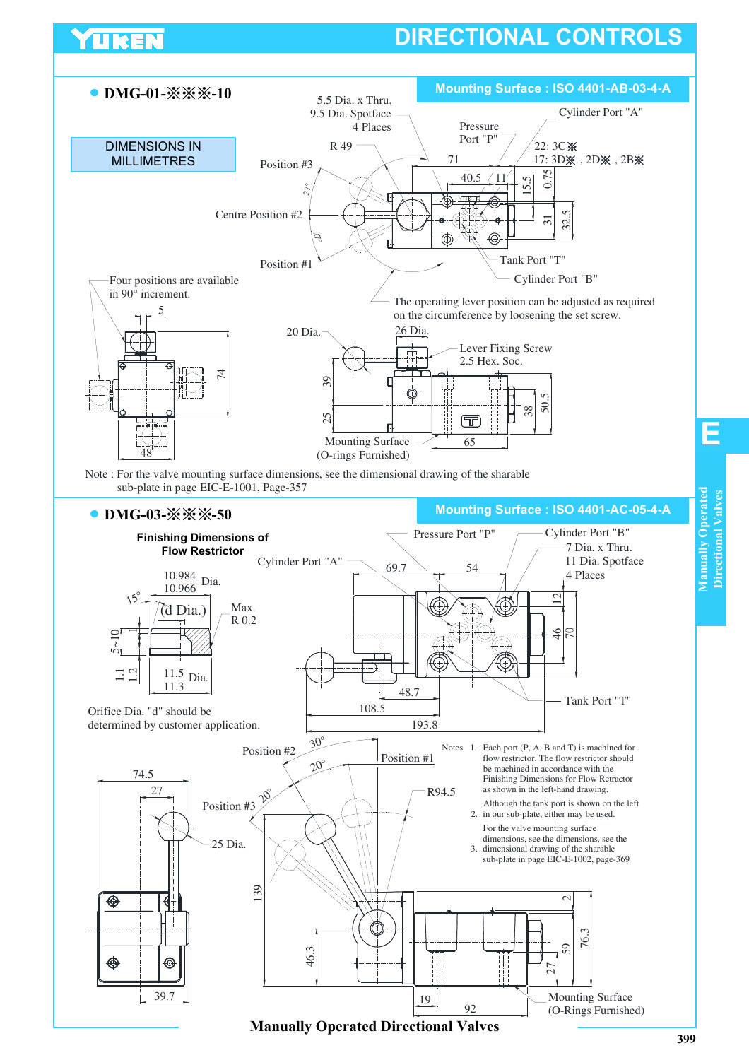

UKE

**Manually Operated Directional Valves**

**Manually Operated Directional Valves**

Manually Operated Directional Valves

**E**